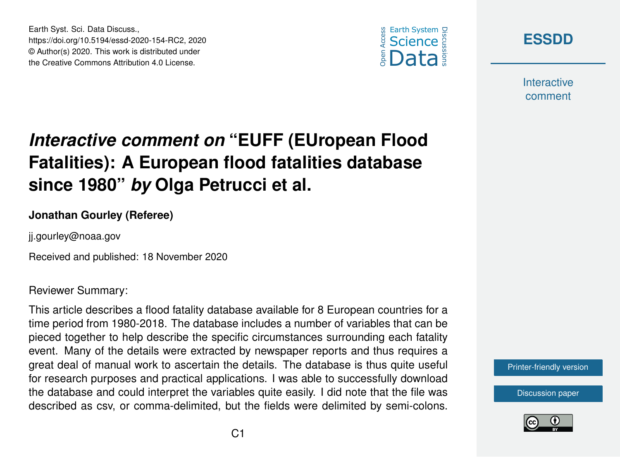





**Interactive** comment

## *Interactive comment on* **"EUFF (EUropean Flood Fatalities): A European flood fatalities database since 1980"** *by* **Olga Petrucci et al.**

## **Jonathan Gourley (Referee)**

ji.gourley@noaa.gov

Received and published: 18 November 2020

Reviewer Summary:

This article describes a flood fatality database available for 8 European countries for a time period from 1980-2018. The database includes a number of variables that can be pieced together to help describe the specific circumstances surrounding each fatality event. Many of the details were extracted by newspaper reports and thus requires a great deal of manual work to ascertain the details. The database is thus quite useful for research purposes and practical applications. I was able to successfully download the database and could interpret the variables quite easily. I did note that the file was described as csv, or comma-delimited, but the fields were delimited by semi-colons.



[Discussion paper](https://essd.copernicus.org/preprints/essd-2020-154)

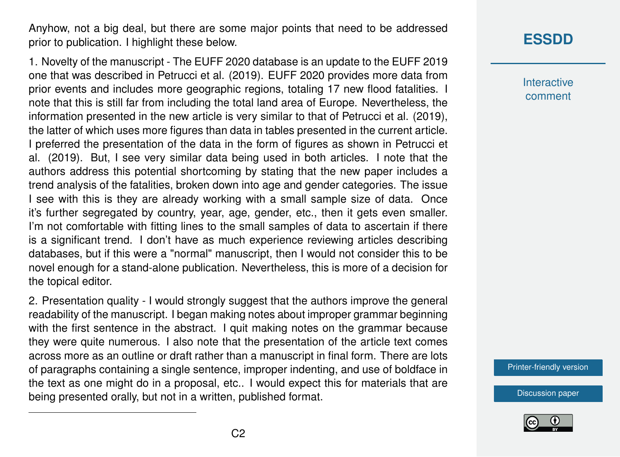Anyhow, not a big deal, but there are some major points that need to be addressed prior to publication. I highlight these below.

1. Novelty of the manuscript - The EUFF 2020 database is an update to the EUFF 2019 one that was described in Petrucci et al. (2019). EUFF 2020 provides more data from prior events and includes more geographic regions, totaling 17 new flood fatalities. I note that this is still far from including the total land area of Europe. Nevertheless, the information presented in the new article is very similar to that of Petrucci et al. (2019), the latter of which uses more figures than data in tables presented in the current article. I preferred the presentation of the data in the form of figures as shown in Petrucci et al. (2019). But, I see very similar data being used in both articles. I note that the authors address this potential shortcoming by stating that the new paper includes a trend analysis of the fatalities, broken down into age and gender categories. The issue I see with this is they are already working with a small sample size of data. Once it's further segregated by country, year, age, gender, etc., then it gets even smaller. I'm not comfortable with fitting lines to the small samples of data to ascertain if there is a significant trend. I don't have as much experience reviewing articles describing databases, but if this were a "normal" manuscript, then I would not consider this to be novel enough for a stand-alone publication. Nevertheless, this is more of a decision for the topical editor.

2. Presentation quality - I would strongly suggest that the authors improve the general readability of the manuscript. I began making notes about improper grammar beginning with the first sentence in the abstract. I quit making notes on the grammar because they were quite numerous. I also note that the presentation of the article text comes across more as an outline or draft rather than a manuscript in final form. There are lots of paragraphs containing a single sentence, improper indenting, and use of boldface in the text as one might do in a proposal, etc.. I would expect this for materials that are being presented orally, but not in a written, published format.

## **[ESSDD](https://essd.copernicus.org/preprints/)**

**Interactive** comment

[Printer-friendly version](https://essd.copernicus.org/preprints/essd-2020-154/essd-2020-154-RC2-print.pdf)

[Discussion paper](https://essd.copernicus.org/preprints/essd-2020-154)